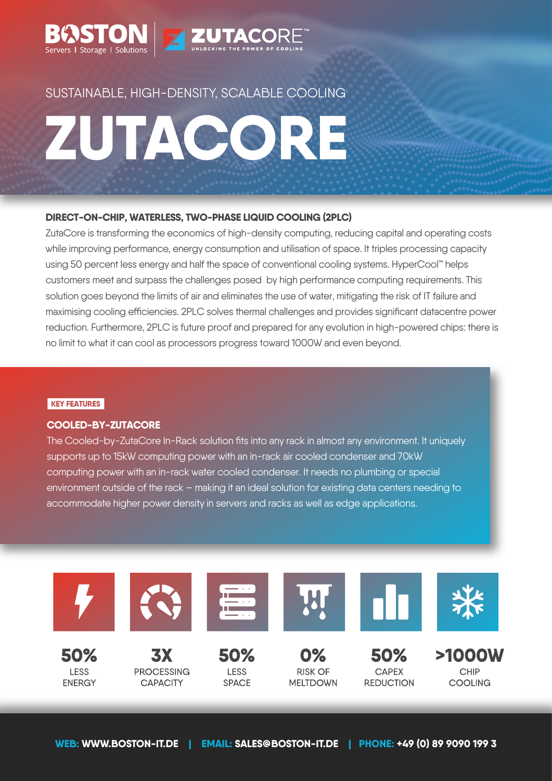

# SUSTAINABLE, HIGH-DENSITY, SCALABLE COOLING

# ZUTACORE

#### **DIRECT-ON-CHIP, WATERLESS, TWO-PHASE LIQUID COOLING (2PLC)**

ZutaCore is transforming the economics of high-density computing, reducing capital and operating costs while improving performance, energy consumption and utilisation of space. It triples processing capacity using 50 percent less energy and half the space of conventional cooling systems. HyperCool™ helps customers meet and surpass the challenges posed by high performance computing requirements. This solution goes beyond the limits of air and eliminates the use of water, mitigating the risk of IT failure and maximising cooling efficiencies. 2PLC solves thermal challenges and provides significant datacentre power reduction. Furthermore, 2PLC is future proof and prepared for any evolution in high-powered chips: there is no limit to what it can cool as processors progress toward 1000W and even beyond.

#### **KEY FEATURES**

**LESS** 

**ENERGY** 

#### **COOLED-BY-ZUTACORE**

The Cooled-by-ZutaCore In-Rack solution fits into any rack in almost any environment. It uniquely supports up to 15kW computing power with an in-rack air cooled condenser and 70kW computing power with an in-rack water cooled condenser. It needs no plumbing or special environment outside of the rack – making it an ideal solution for existing data centers needing to accommodate higher power density in servers and racks as well as edge applications.



**RISK OF** 

**MELTDOWN** 

**CAPEX REDUCTION** 

CHIP COOLING

**LESS** 

**SPACE** 

**PROCESSING** 

**CAPACITY**